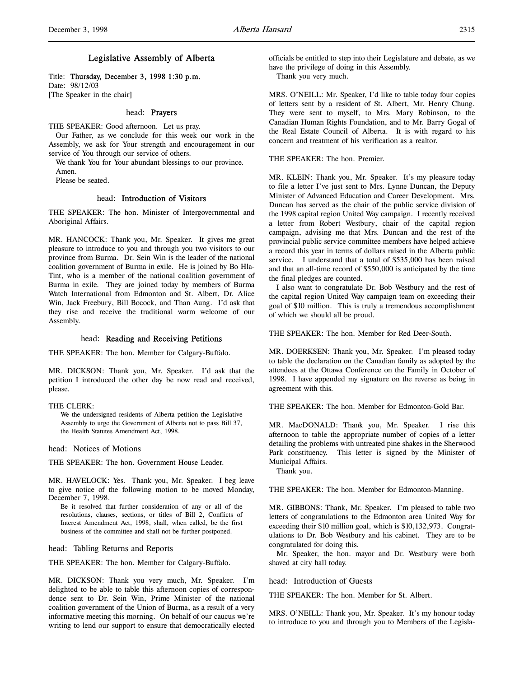# Legislative Assembly of Alberta

Title: Thursday, December 3, 1998 1:30 p.m. Date: 98/12/03 [The Speaker in the chair]

## head: Prayers

THE SPEAKER: Good afternoon. Let us pray.

Our Father, as we conclude for this week our work in the Assembly, we ask for Your strength and encouragement in our service of You through our service of others.

We thank You for Your abundant blessings to our province.

Amen.

Please be seated.

#### head: Introduction of Visitors

THE SPEAKER: The hon. Minister of Intergovernmental and Aboriginal Affairs.

MR. HANCOCK: Thank you, Mr. Speaker. It gives me great pleasure to introduce to you and through you two visitors to our province from Burma. Dr. Sein Win is the leader of the national coalition government of Burma in exile. He is joined by Bo Hla-Tint, who is a member of the national coalition government of Burma in exile. They are joined today by members of Burma Watch International from Edmonton and St. Albert, Dr. Alice Win, Jack Freebury, Bill Bocock, and Than Aung. I'd ask that they rise and receive the traditional warm welcome of our Assembly.

# head: Reading and Receiving Petitions

THE SPEAKER: The hon. Member for Calgary-Buffalo.

MR. DICKSON: Thank you, Mr. Speaker. I'd ask that the petition I introduced the other day be now read and received, please.

#### THE CLERK:

We the undersigned residents of Alberta petition the Legislative Assembly to urge the Government of Alberta not to pass Bill 37, the Health Statutes Amendment Act, 1998.

head: Notices of Motions

THE SPEAKER: The hon. Government House Leader.

MR. HAVELOCK: Yes. Thank you, Mr. Speaker. I beg leave to give notice of the following motion to be moved Monday, December 7, 1998.

Be it resolved that further consideration of any or all of the resolutions, clauses, sections, or titles of Bill 2, Conflicts of Interest Amendment Act, 1998, shall, when called, be the first business of the committee and shall not be further postponed.

head: Tabling Returns and Reports

THE SPEAKER: The hon. Member for Calgary-Buffalo.

MR. DICKSON: Thank you very much, Mr. Speaker. I'm delighted to be able to table this afternoon copies of correspondence sent to Dr. Sein Win, Prime Minister of the national coalition government of the Union of Burma, as a result of a very informative meeting this morning. On behalf of our caucus we're writing to lend our support to ensure that democratically elected

officials be entitled to step into their Legislature and debate, as we have the privilege of doing in this Assembly.

Thank you very much.

MRS. O'NEILL: Mr. Speaker, I'd like to table today four copies of letters sent by a resident of St. Albert, Mr. Henry Chung. They were sent to myself, to Mrs. Mary Robinson, to the Canadian Human Rights Foundation, and to Mr. Barry Gogal of the Real Estate Council of Alberta. It is with regard to his concern and treatment of his verification as a realtor.

THE SPEAKER: The hon. Premier.

MR. KLEIN: Thank you, Mr. Speaker. It's my pleasure today to file a letter I've just sent to Mrs. Lynne Duncan, the Deputy Minister of Advanced Education and Career Development. Mrs. Duncan has served as the chair of the public service division of the 1998 capital region United Way campaign. I recently received a letter from Robert Westbury, chair of the capital region campaign, advising me that Mrs. Duncan and the rest of the provincial public service committee members have helped achieve a record this year in terms of dollars raised in the Alberta public service. I understand that a total of \$535,000 has been raised and that an all-time record of \$550,000 is anticipated by the time the final pledges are counted.

I also want to congratulate Dr. Bob Westbury and the rest of the capital region United Way campaign team on exceeding their goal of \$10 million. This is truly a tremendous accomplishment of which we should all be proud.

THE SPEAKER: The hon. Member for Red Deer-South.

MR. DOERKSEN: Thank you, Mr. Speaker. I'm pleased today to table the declaration on the Canadian family as adopted by the attendees at the Ottawa Conference on the Family in October of 1998. I have appended my signature on the reverse as being in agreement with this.

THE SPEAKER: The hon. Member for Edmonton-Gold Bar.

MR. MacDONALD: Thank you, Mr. Speaker. I rise this afternoon to table the appropriate number of copies of a letter detailing the problems with untreated pine shakes in the Sherwood Park constituency. This letter is signed by the Minister of Municipal Affairs.

Thank you.

THE SPEAKER: The hon. Member for Edmonton-Manning.

MR. GIBBONS: Thank, Mr. Speaker. I'm pleased to table two letters of congratulations to the Edmonton area United Way for exceeding their \$10 million goal, which is \$10,132,973. Congratulations to Dr. Bob Westbury and his cabinet. They are to be congratulated for doing this.

Mr. Speaker, the hon. mayor and Dr. Westbury were both shaved at city hall today.

head: Introduction of Guests

THE SPEAKER: The hon. Member for St. Albert.

MRS. O'NEILL: Thank you, Mr. Speaker. It's my honour today to introduce to you and through you to Members of the Legisla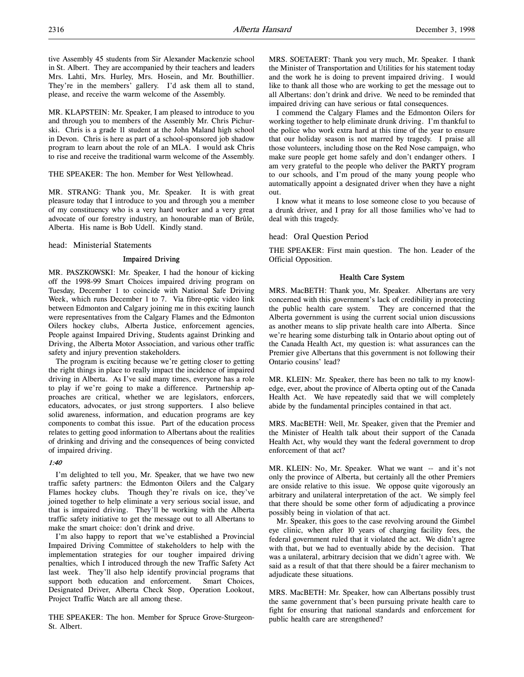MR. KLAPSTEIN: Mr. Speaker, I am pleased to introduce to you and through you to members of the Assembly Mr. Chris Pichurski. Chris is a grade 11 student at the John Maland high school in Devon. Chris is here as part of a school-sponsored job shadow program to learn about the role of an MLA. I would ask Chris to rise and receive the traditional warm welcome of the Assembly.

THE SPEAKER: The hon. Member for West Yellowhead.

MR. STRANG: Thank you, Mr. Speaker. It is with great pleasure today that I introduce to you and through you a member of my constituency who is a very hard worker and a very great advocate of our forestry industry, an honourable man of Brûle, Alberta. His name is Bob Udell. Kindly stand.

head: Ministerial Statements

# Impaired Driving

MR. PASZKOWSKI: Mr. Speaker, I had the honour of kicking off the 1998-99 Smart Choices impaired driving program on Tuesday, December 1 to coincide with National Safe Driving Week, which runs December 1 to 7. Via fibre-optic video link between Edmonton and Calgary joining me in this exciting launch were representatives from the Calgary Flames and the Edmonton Oilers hockey clubs, Alberta Justice, enforcement agencies, People against Impaired Driving, Students against Drinking and Driving, the Alberta Motor Association, and various other traffic safety and injury prevention stakeholders.

The program is exciting because we're getting closer to getting the right things in place to really impact the incidence of impaired driving in Alberta. As I've said many times, everyone has a role to play if we're going to make a difference. Partnership approaches are critical, whether we are legislators, enforcers, educators, advocates, or just strong supporters. I also believe solid awareness, information, and education programs are key components to combat this issue. Part of the education process relates to getting good information to Albertans about the realities of drinking and driving and the consequences of being convicted of impaired driving.

# 1:40

I'm delighted to tell you, Mr. Speaker, that we have two new traffic safety partners: the Edmonton Oilers and the Calgary Flames hockey clubs. Though they're rivals on ice, they've joined together to help eliminate a very serious social issue, and that is impaired driving. They'll be working with the Alberta traffic safety initiative to get the message out to all Albertans to make the smart choice: don't drink and drive.

I'm also happy to report that we've established a Provincial Impaired Driving Committee of stakeholders to help with the implementation strategies for our tougher impaired driving penalties, which I introduced through the new Traffic Safety Act last week. They'll also help identify provincial programs that support both education and enforcement. Smart Choices, Designated Driver, Alberta Check Stop, Operation Lookout, Project Traffic Watch are all among these.

THE SPEAKER: The hon. Member for Spruce Grove-Sturgeon-St. Albert.

MRS. SOETAERT: Thank you very much, Mr. Speaker. I thank the Minister of Transportation and Utilities for his statement today and the work he is doing to prevent impaired driving. I would like to thank all those who are working to get the message out to all Albertans: don't drink and drive. We need to be reminded that impaired driving can have serious or fatal consequences.

I commend the Calgary Flames and the Edmonton Oilers for working together to help eliminate drunk driving. I'm thankful to the police who work extra hard at this time of the year to ensure that our holiday season is not marred by tragedy. I praise all those volunteers, including those on the Red Nose campaign, who make sure people get home safely and don't endanger others. I am very grateful to the people who deliver the PARTY program to our schools, and I'm proud of the many young people who automatically appoint a designated driver when they have a night out.

I know what it means to lose someone close to you because of a drunk driver, and I pray for all those families who've had to deal with this tragedy.

head: Oral Question Period

THE SPEAKER: First main question. The hon. Leader of the Official Opposition.

# Health Care System

MRS. MacBETH: Thank you, Mr. Speaker. Albertans are very concerned with this government's lack of credibility in protecting the public health care system. They are concerned that the Alberta government is using the current social union discussions as another means to slip private health care into Alberta. Since we're hearing some disturbing talk in Ontario about opting out of the Canada Health Act, my question is: what assurances can the Premier give Albertans that this government is not following their Ontario cousins' lead?

MR. KLEIN: Mr. Speaker, there has been no talk to my knowledge, ever, about the province of Alberta opting out of the Canada Health Act. We have repeatedly said that we will completely abide by the fundamental principles contained in that act.

MRS. MacBETH: Well, Mr. Speaker, given that the Premier and the Minister of Health talk about their support of the Canada Health Act, why would they want the federal government to drop enforcement of that act?

MR. KLEIN: No, Mr. Speaker. What we want -- and it's not only the province of Alberta, but certainly all the other Premiers are onside relative to this issue. We oppose quite vigorously an arbitrary and unilateral interpretation of the act. We simply feel that there should be some other form of adjudicating a province possibly being in violation of that act.

Mr. Speaker, this goes to the case revolving around the Gimbel eye clinic, when after 10 years of charging facility fees, the federal government ruled that it violated the act. We didn't agree with that, but we had to eventually abide by the decision. That was a unilateral, arbitrary decision that we didn't agree with. We said as a result of that that there should be a fairer mechanism to adjudicate these situations.

MRS. MacBETH: Mr. Speaker, how can Albertans possibly trust the same government that's been pursuing private health care to fight for ensuring that national standards and enforcement for public health care are strengthened?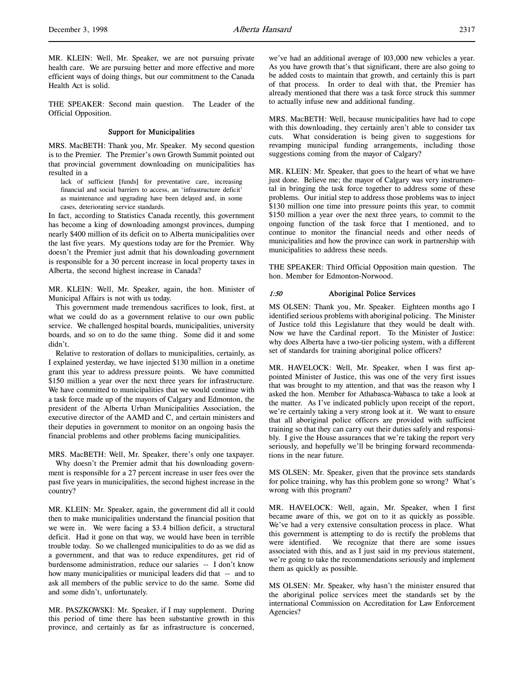MR. KLEIN: Well, Mr. Speaker, we are not pursuing private health care. We are pursuing better and more effective and more efficient ways of doing things, but our commitment to the Canada Health Act is solid.

THE SPEAKER: Second main question. The Leader of the Official Opposition.

## Support for Municipalities

MRS. MacBETH: Thank you, Mr. Speaker. My second question is to the Premier. The Premier's own Growth Summit pointed out that provincial government downloading on municipalities has resulted in a

lack of sufficient [funds] for preventative care, increasing financial and social barriers to access, an 'infrastructure deficit' as maintenance and upgrading have been delayed and, in some cases, deteriorating service standards.

In fact, according to Statistics Canada recently, this government has become a king of downloading amongst provinces, dumping nearly \$400 million of its deficit on to Alberta municipalities over the last five years. My questions today are for the Premier. Why doesn't the Premier just admit that his downloading government is responsible for a 30 percent increase in local property taxes in Alberta, the second highest increase in Canada?

MR. KLEIN: Well, Mr. Speaker, again, the hon. Minister of Municipal Affairs is not with us today.

This government made tremendous sacrifices to look, first, at what we could do as a government relative to our own public service. We challenged hospital boards, municipalities, university boards, and so on to do the same thing. Some did it and some didn't.

Relative to restoration of dollars to municipalities, certainly, as I explained yesterday, we have injected \$130 million in a onetime grant this year to address pressure points. We have committed \$150 million a year over the next three years for infrastructure. We have committed to municipalities that we would continue with a task force made up of the mayors of Calgary and Edmonton, the president of the Alberta Urban Municipalities Association, the executive director of the AAMD and C, and certain ministers and their deputies in government to monitor on an ongoing basis the financial problems and other problems facing municipalities.

MRS. MacBETH: Well, Mr. Speaker, there's only one taxpayer. Why doesn't the Premier admit that his downloading government is responsible for a 27 percent increase in user fees over the past five years in municipalities, the second highest increase in the country?

MR. KLEIN: Mr. Speaker, again, the government did all it could then to make municipalities understand the financial position that we were in. We were facing a \$3.4 billion deficit, a structural deficit. Had it gone on that way, we would have been in terrible trouble today. So we challenged municipalities to do as we did as a government, and that was to reduce expenditures, get rid of burdensome administration, reduce our salaries -- I don't know how many municipalities or municipal leaders did that -- and to ask all members of the public service to do the same. Some did and some didn't, unfortunately.

MR. PASZKOWSKI: Mr. Speaker, if I may supplement. During this period of time there has been substantive growth in this province, and certainly as far as infrastructure is concerned,

we've had an additional average of 103,000 new vehicles a year. As you have growth that's that significant, there are also going to be added costs to maintain that growth, and certainly this is part of that process. In order to deal with that, the Premier has already mentioned that there was a task force struck this summer to actually infuse new and additional funding.

MRS. MacBETH: Well, because municipalities have had to cope with this downloading, they certainly aren't able to consider tax cuts. What consideration is being given to suggestions for revamping municipal funding arrangements, including those suggestions coming from the mayor of Calgary?

MR. KLEIN: Mr. Speaker, that goes to the heart of what we have just done. Believe me; the mayor of Calgary was very instrumental in bringing the task force together to address some of these problems. Our initial step to address those problems was to inject \$130 million one time into pressure points this year, to commit \$150 million a year over the next three years, to commit to the ongoing function of the task force that I mentioned, and to continue to monitor the financial needs and other needs of municipalities and how the province can work in partnership with municipalities to address these needs.

THE SPEAKER: Third Official Opposition main question. The hon. Member for Edmonton-Norwood.

## 1:50 Aboriginal Police Services

MS OLSEN: Thank you, Mr. Speaker. Eighteen months ago I identified serious problems with aboriginal policing. The Minister of Justice told this Legislature that they would be dealt with. Now we have the Cardinal report. To the Minister of Justice: why does Alberta have a two-tier policing system, with a different set of standards for training aboriginal police officers?

MR. HAVELOCK: Well, Mr. Speaker, when I was first appointed Minister of Justice, this was one of the very first issues that was brought to my attention, and that was the reason why I asked the hon. Member for Athabasca-Wabasca to take a look at the matter. As I've indicated publicly upon receipt of the report, we're certainly taking a very strong look at it. We want to ensure that all aboriginal police officers are provided with sufficient training so that they can carry out their duties safely and responsibly. I give the House assurances that we're taking the report very seriously, and hopefully we'll be bringing forward recommendations in the near future.

MS OLSEN: Mr. Speaker, given that the province sets standards for police training, why has this problem gone so wrong? What's wrong with this program?

MR. HAVELOCK: Well, again, Mr. Speaker, when I first became aware of this, we got on to it as quickly as possible. We've had a very extensive consultation process in place. What this government is attempting to do is rectify the problems that were identified. We recognize that there are some issues associated with this, and as I just said in my previous statement, we're going to take the recommendations seriously and implement them as quickly as possible.

MS OLSEN: Mr. Speaker, why hasn't the minister ensured that the aboriginal police services meet the standards set by the international Commission on Accreditation for Law Enforcement Agencies?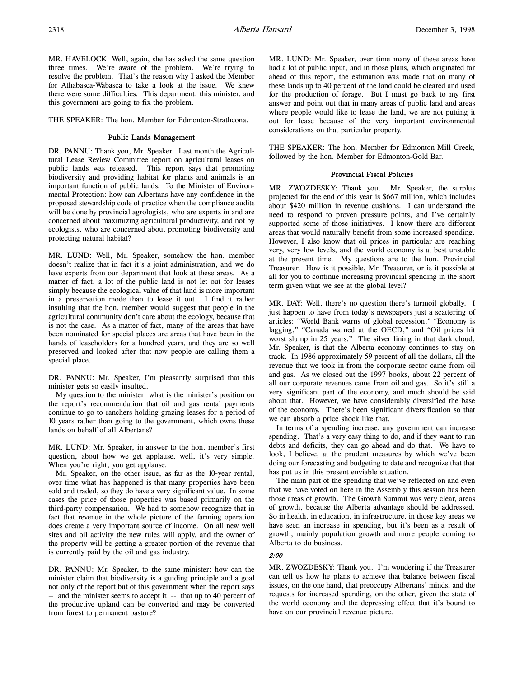THE SPEAKER: The hon. Member for Edmonton-Strathcona.

## Public Lands Management

DR. PANNU: Thank you, Mr. Speaker. Last month the Agricultural Lease Review Committee report on agricultural leases on public lands was released. This report says that promoting biodiversity and providing habitat for plants and animals is an important function of public lands. To the Minister of Environmental Protection: how can Albertans have any confidence in the proposed stewardship code of practice when the compliance audits will be done by provincial agrologists, who are experts in and are concerned about maximizing agricultural productivity, and not by ecologists, who are concerned about promoting biodiversity and protecting natural habitat?

MR. LUND: Well, Mr. Speaker, somehow the hon. member doesn't realize that in fact it's a joint administration, and we do have experts from our department that look at these areas. As a matter of fact, a lot of the public land is not let out for leases simply because the ecological value of that land is more important in a preservation mode than to lease it out. I find it rather insulting that the hon. member would suggest that people in the agricultural community don't care about the ecology, because that is not the case. As a matter of fact, many of the areas that have been nominated for special places are areas that have been in the hands of leaseholders for a hundred years, and they are so well preserved and looked after that now people are calling them a special place.

DR. PANNU: Mr. Speaker, I'm pleasantly surprised that this minister gets so easily insulted.

My question to the minister: what is the minister's position on the report's recommendation that oil and gas rental payments continue to go to ranchers holding grazing leases for a period of 10 years rather than going to the government, which owns these lands on behalf of all Albertans?

MR. LUND: Mr. Speaker, in answer to the hon. member's first question, about how we get applause, well, it's very simple. When you're right, you get applause.

Mr. Speaker, on the other issue, as far as the 10-year rental, over time what has happened is that many properties have been sold and traded, so they do have a very significant value. In some cases the price of those properties was based primarily on the third-party compensation. We had to somehow recognize that in fact that revenue in the whole picture of the farming operation does create a very important source of income. On all new well sites and oil activity the new rules will apply, and the owner of the property will be getting a greater portion of the revenue that is currently paid by the oil and gas industry.

DR. PANNU: Mr. Speaker, to the same minister: how can the minister claim that biodiversity is a guiding principle and a goal not only of the report but of this government when the report says -- and the minister seems to accept it -- that up to 40 percent of the productive upland can be converted and may be converted from forest to permanent pasture?

MR. LUND: Mr. Speaker, over time many of these areas have had a lot of public input, and in those plans, which originated far ahead of this report, the estimation was made that on many of these lands up to 40 percent of the land could be cleared and used for the production of forage. But I must go back to my first answer and point out that in many areas of public land and areas where people would like to lease the land, we are not putting it out for lease because of the very important environmental considerations on that particular property.

THE SPEAKER: The hon. Member for Edmonton-Mill Creek, followed by the hon. Member for Edmonton-Gold Bar.

#### Provincial Fiscal Policies

MR. ZWOZDESKY: Thank you. Mr. Speaker, the surplus projected for the end of this year is \$667 million, which includes about \$420 million in revenue cushions. I can understand the need to respond to proven pressure points, and I've certainly supported some of those initiatives. I know there are different areas that would naturally benefit from some increased spending. However, I also know that oil prices in particular are reaching very, very low levels, and the world economy is at best unstable at the present time. My questions are to the hon. Provincial Treasurer. How is it possible, Mr. Treasurer, or is it possible at all for you to continue increasing provincial spending in the short term given what we see at the global level?

MR. DAY: Well, there's no question there's turmoil globally. I just happen to have from today's newspapers just a scattering of articles: "World Bank warns of global recession," "Economy is lagging," "Canada warned at the OECD," and "Oil prices hit worst slump in 25 years." The silver lining in that dark cloud, Mr. Speaker, is that the Alberta economy continues to stay on track. In 1986 approximately 59 percent of all the dollars, all the revenue that we took in from the corporate sector came from oil and gas. As we closed out the 1997 books, about 22 percent of all our corporate revenues came from oil and gas. So it's still a very significant part of the economy, and much should be said about that. However, we have considerably diversified the base of the economy. There's been significant diversification so that we can absorb a price shock like that.

In terms of a spending increase, any government can increase spending. That's a very easy thing to do, and if they want to run debts and deficits, they can go ahead and do that. We have to look, I believe, at the prudent measures by which we've been doing our forecasting and budgeting to date and recognize that that has put us in this present enviable situation.

The main part of the spending that we've reflected on and even that we have voted on here in the Assembly this session has been those areas of growth. The Growth Summit was very clear, areas of growth, because the Alberta advantage should be addressed. So in health, in education, in infrastructure, in those key areas we have seen an increase in spending, but it's been as a result of growth, mainly population growth and more people coming to Alberta to do business.

## 2:00

MR. ZWOZDESKY: Thank you. I'm wondering if the Treasurer can tell us how he plans to achieve that balance between fiscal issues, on the one hand, that preoccupy Albertans' minds, and the requests for increased spending, on the other, given the state of the world economy and the depressing effect that it's bound to have on our provincial revenue picture.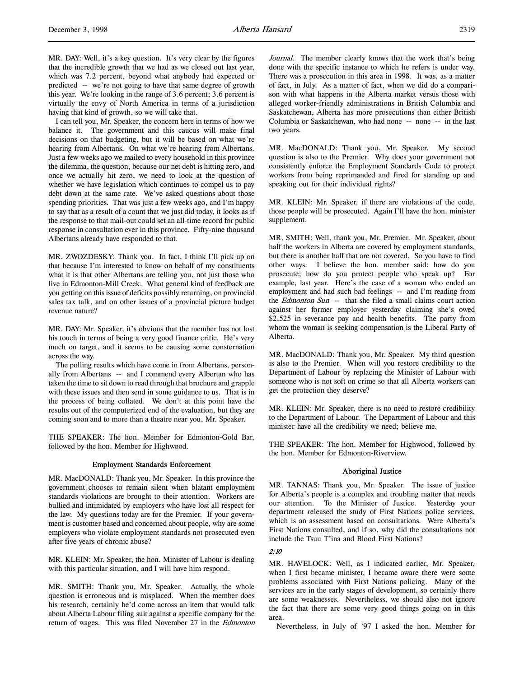MR. DAY: Well, it's a key question. It's very clear by the figures that the incredible growth that we had as we closed out last year, which was 7.2 percent, beyond what anybody had expected or predicted -- we're not going to have that same degree of growth this year. We're looking in the range of 3.6 percent; 3.6 percent is virtually the envy of North America in terms of a jurisdiction having that kind of growth, so we will take that.

I can tell you, Mr. Speaker, the concern here in terms of how we balance it. The government and this caucus will make final decisions on that budgeting, but it will be based on what we're hearing from Albertans. On what we're hearing from Albertans. Just a few weeks ago we mailed to every household in this province the dilemma, the question, because our net debt is hitting zero, and once we actually hit zero, we need to look at the question of whether we have legislation which continues to compel us to pay debt down at the same rate. We've asked questions about those spending priorities. That was just a few weeks ago, and I'm happy to say that as a result of a count that we just did today, it looks as if the response to that mail-out could set an all-time record for public response in consultation ever in this province. Fifty-nine thousand Albertans already have responded to that.

MR. ZWOZDESKY: Thank you. In fact, I think I'll pick up on that because I'm interested to know on behalf of my constituents what it is that other Albertans are telling you, not just those who live in Edmonton-Mill Creek. What general kind of feedback are you getting on this issue of deficits possibly returning, on provincial sales tax talk, and on other issues of a provincial picture budget revenue nature?

MR. DAY: Mr. Speaker, it's obvious that the member has not lost his touch in terms of being a very good finance critic. He's very much on target, and it seems to be causing some consternation across the way.

The polling results which have come in from Albertans, personally from Albertans -- and I commend every Albertan who has taken the time to sit down to read through that brochure and grapple with these issues and then send in some guidance to us. That is in the process of being collated. We don't at this point have the results out of the computerized end of the evaluation, but they are coming soon and to more than a theatre near you, Mr. Speaker.

THE SPEAKER: The hon. Member for Edmonton-Gold Bar, followed by the hon. Member for Highwood.

## Employment Standards Enforcement

MR. MacDONALD: Thank you, Mr. Speaker. In this province the government chooses to remain silent when blatant employment standards violations are brought to their attention. Workers are bullied and intimidated by employers who have lost all respect for the law. My questions today are for the Premier. If your government is customer based and concerned about people, why are some employers who violate employment standards not prosecuted even after five years of chronic abuse?

MR. KLEIN: Mr. Speaker, the hon. Minister of Labour is dealing with this particular situation, and I will have him respond.

MR. SMITH: Thank you, Mr. Speaker. Actually, the whole question is erroneous and is misplaced. When the member does his research, certainly he'd come across an item that would talk about Alberta Labour filing suit against a specific company for the return of wages. This was filed November 27 in the Edmonton Journal. The member clearly knows that the work that's being done with the specific instance to which he refers is under way. There was a prosecution in this area in 1998. It was, as a matter of fact, in July. As a matter of fact, when we did do a comparison with what happens in the Alberta market versus those with alleged worker-friendly administrations in British Columbia and Saskatchewan, Alberta has more prosecutions than either British Columbia or Saskatchewan, who had none -- none -- in the last two years.

MR. MacDONALD: Thank you, Mr. Speaker. My second question is also to the Premier. Why does your government not consistently enforce the Employment Standards Code to protect workers from being reprimanded and fired for standing up and speaking out for their individual rights?

MR. KLEIN: Mr. Speaker, if there are violations of the code, those people will be prosecuted. Again I'll have the hon. minister supplement.

MR. SMITH: Well, thank you, Mr. Premier. Mr. Speaker, about half the workers in Alberta are covered by employment standards, but there is another half that are not covered. So you have to find other ways. I believe the hon. member said: how do you prosecute; how do you protect people who speak up? For example, last year. Here's the case of a woman who ended an employment and had such bad feelings -- and I'm reading from the Edmonton Sun -- that she filed a small claims court action against her former employer yesterday claiming she's owed \$2,525 in severance pay and health benefits. The party from whom the woman is seeking compensation is the Liberal Party of Alberta.

MR. MacDONALD: Thank you, Mr. Speaker. My third question is also to the Premier. When will you restore credibility to the Department of Labour by replacing the Minister of Labour with someone who is not soft on crime so that all Alberta workers can get the protection they deserve?

MR. KLEIN: Mr. Speaker, there is no need to restore credibility to the Department of Labour. The Department of Labour and this minister have all the credibility we need; believe me.

THE SPEAKER: The hon. Member for Highwood, followed by the hon. Member for Edmonton-Riverview.

#### Aboriginal Justice

MR. TANNAS: Thank you, Mr. Speaker. The issue of justice for Alberta's people is a complex and troubling matter that needs our attention. To the Minister of Justice. Yesterday your department released the study of First Nations police services, which is an assessment based on consultations. Were Alberta's First Nations consulted, and if so, why did the consultations not include the Tsuu T'ina and Blood First Nations?

## 2:10

MR. HAVELOCK: Well, as I indicated earlier, Mr. Speaker, when I first became minister, I became aware there were some problems associated with First Nations policing. Many of the services are in the early stages of development, so certainly there are some weaknesses. Nevertheless, we should also not ignore the fact that there are some very good things going on in this area.

Nevertheless, in July of '97 I asked the hon. Member for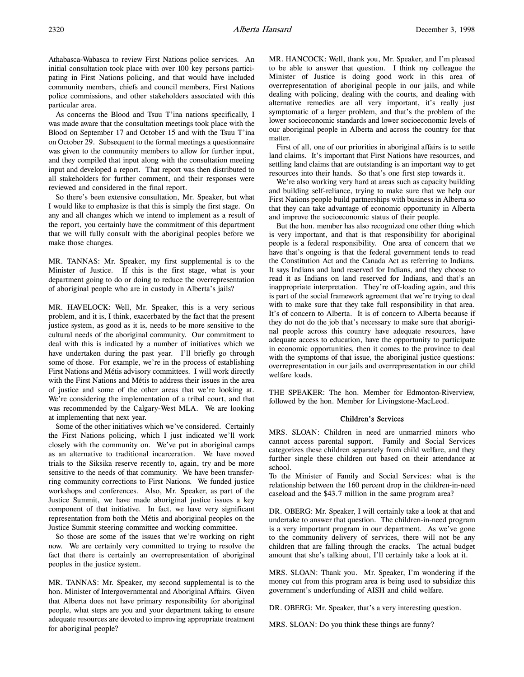As concerns the Blood and Tsuu T'ina nations specifically, I was made aware that the consultation meetings took place with the Blood on September 17 and October 15 and with the Tsuu T'ina on October 29. Subsequent to the formal meetings a questionnaire was given to the community members to allow for further input, and they compiled that input along with the consultation meeting input and developed a report. That report was then distributed to all stakeholders for further comment, and their responses were reviewed and considered in the final report.

So there's been extensive consultation, Mr. Speaker, but what I would like to emphasize is that this is simply the first stage. On any and all changes which we intend to implement as a result of the report, you certainly have the commitment of this department that we will fully consult with the aboriginal peoples before we make those changes.

MR. TANNAS: Mr. Speaker, my first supplemental is to the Minister of Justice. If this is the first stage, what is your department going to do or doing to reduce the overrepresentation of aboriginal people who are in custody in Alberta's jails?

MR. HAVELOCK: Well, Mr. Speaker, this is a very serious problem, and it is, I think, exacerbated by the fact that the present justice system, as good as it is, needs to be more sensitive to the cultural needs of the aboriginal community. Our commitment to deal with this is indicated by a number of initiatives which we have undertaken during the past year. I'll briefly go through some of those. For example, we're in the process of establishing First Nations and Métis advisory committees. I will work directly with the First Nations and Métis to address their issues in the area of justice and some of the other areas that we're looking at. We're considering the implementation of a tribal court, and that was recommended by the Calgary-West MLA. We are looking at implementing that next year.

Some of the other initiatives which we've considered. Certainly the First Nations policing, which I just indicated we'll work closely with the community on. We've put in aboriginal camps as an alternative to traditional incarceration. We have moved trials to the Siksika reserve recently to, again, try and be more sensitive to the needs of that community. We have been transferring community corrections to First Nations. We funded justice workshops and conferences. Also, Mr. Speaker, as part of the Justice Summit, we have made aboriginal justice issues a key component of that initiative. In fact, we have very significant representation from both the Métis and aboriginal peoples on the Justice Summit steering committee and working committee.

So those are some of the issues that we're working on right now. We are certainly very committed to trying to resolve the fact that there is certainly an overrepresentation of aboriginal peoples in the justice system.

MR. TANNAS: Mr. Speaker, my second supplemental is to the hon. Minister of Intergovernmental and Aboriginal Affairs. Given that Alberta does not have primary responsibility for aboriginal people, what steps are you and your department taking to ensure adequate resources are devoted to improving appropriate treatment for aboriginal people?

MR. HANCOCK: Well, thank you, Mr. Speaker, and I'm pleased to be able to answer that question. I think my colleague the Minister of Justice is doing good work in this area of overrepresentation of aboriginal people in our jails, and while dealing with policing, dealing with the courts, and dealing with alternative remedies are all very important, it's really just symptomatic of a larger problem, and that's the problem of the lower socioeconomic standards and lower socioeconomic levels of our aboriginal people in Alberta and across the country for that matter.

First of all, one of our priorities in aboriginal affairs is to settle land claims. It's important that First Nations have resources, and settling land claims that are outstanding is an important way to get resources into their hands. So that's one first step towards it.

We're also working very hard at areas such as capacity building and building self-reliance, trying to make sure that we help our First Nations people build partnerships with business in Alberta so that they can take advantage of economic opportunity in Alberta and improve the socioeconomic status of their people.

But the hon. member has also recognized one other thing which is very important, and that is that responsibility for aboriginal people is a federal responsibility. One area of concern that we have that's ongoing is that the federal government tends to read the Constitution Act and the Canada Act as referring to Indians. It says Indians and land reserved for Indians, and they choose to read it as Indians on land reserved for Indians, and that's an inappropriate interpretation. They're off-loading again, and this is part of the social framework agreement that we're trying to deal with to make sure that they take full responsibility in that area. It's of concern to Alberta. It is of concern to Alberta because if they do not do the job that's necessary to make sure that aboriginal people across this country have adequate resources, have adequate access to education, have the opportunity to participate in economic opportunities, then it comes to the province to deal with the symptoms of that issue, the aboriginal justice questions: overrepresentation in our jails and overrepresentation in our child welfare loads.

THE SPEAKER: The hon. Member for Edmonton-Riverview, followed by the hon. Member for Livingstone-MacLeod.

#### Children's Services

MRS. SLOAN: Children in need are unmarried minors who cannot access parental support. Family and Social Services categorizes these children separately from child welfare, and they further single these children out based on their attendance at school.

To the Minister of Family and Social Services: what is the relationship between the 160 percent drop in the children-in-need caseload and the \$43.7 million in the same program area?

DR. OBERG: Mr. Speaker, I will certainly take a look at that and undertake to answer that question. The children-in-need program is a very important program in our department. As we've gone to the community delivery of services, there will not be any children that are falling through the cracks. The actual budget amount that she's talking about, I'll certainly take a look at it.

MRS. SLOAN: Thank you. Mr. Speaker, I'm wondering if the money cut from this program area is being used to subsidize this government's underfunding of AISH and child welfare.

DR. OBERG: Mr. Speaker, that's a very interesting question.

MRS. SLOAN: Do you think these things are funny?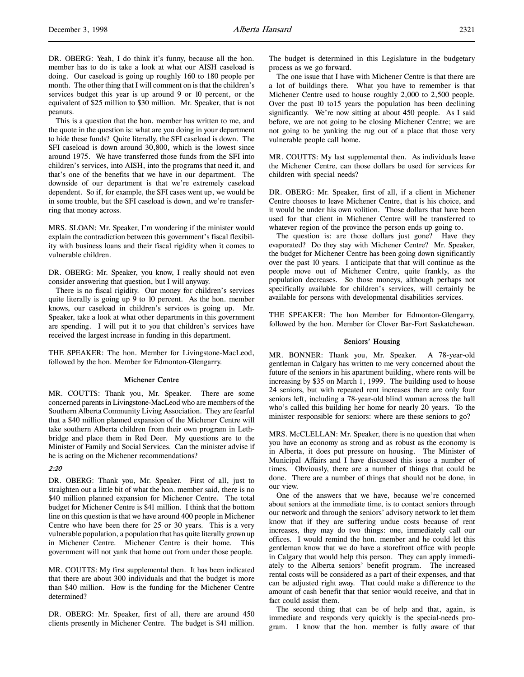DR. OBERG: Yeah, I do think it's funny, because all the hon. member has to do is take a look at what our AISH caseload is doing. Our caseload is going up roughly 160 to 180 people per month. The other thing that I will comment on is that the children's services budget this year is up around 9 or 10 percent, or the equivalent of \$25 million to \$30 million. Mr. Speaker, that is not peanuts.

This is a question that the hon. member has written to me, and the quote in the question is: what are you doing in your department to hide these funds? Quite literally, the SFI caseload is down. The SFI caseload is down around 30,800, which is the lowest since around 1975. We have transferred those funds from the SFI into children's services, into AISH, into the programs that need it, and that's one of the benefits that we have in our department. The downside of our department is that we're extremely caseload dependent. So if, for example, the SFI cases went up, we would be in some trouble, but the SFI caseload is down, and we're transferring that money across.

MRS. SLOAN: Mr. Speaker, I'm wondering if the minister would explain the contradiction between this government's fiscal flexibility with business loans and their fiscal rigidity when it comes to vulnerable children.

DR. OBERG: Mr. Speaker, you know, I really should not even consider answering that question, but I will anyway.

There is no fiscal rigidity. Our money for children's services quite literally is going up 9 to 10 percent. As the hon. member knows, our caseload in children's services is going up. Mr. Speaker, take a look at what other departments in this government are spending. I will put it to you that children's services have received the largest increase in funding in this department.

THE SPEAKER: The hon. Member for Livingstone-MacLeod, followed by the hon. Member for Edmonton-Glengarry.

#### Michener Centre

MR. COUTTS: Thank you, Mr. Speaker. There are some concerned parents in Livingstone-MacLeod who are members of the Southern Alberta Community Living Association. They are fearful that a \$40 million planned expansion of the Michener Centre will take southern Alberta children from their own program in Lethbridge and place them in Red Deer. My questions are to the Minister of Family and Social Services. Can the minister advise if he is acting on the Michener recommendations?

#### 2:20

DR. OBERG: Thank you, Mr. Speaker. First of all, just to straighten out a little bit of what the hon. member said, there is no \$40 million planned expansion for Michener Centre. The total budget for Michener Centre is \$41 million. I think that the bottom line on this question is that we have around 400 people in Michener Centre who have been there for 25 or 30 years. This is a very vulnerable population, a population that has quite literally grown up in Michener Centre. Michener Centre is their home. This government will not yank that home out from under those people.

MR. COUTTS: My first supplemental then. It has been indicated that there are about 300 individuals and that the budget is more than \$40 million. How is the funding for the Michener Centre determined?

DR. OBERG: Mr. Speaker, first of all, there are around 450 clients presently in Michener Centre. The budget is \$41 million.

The budget is determined in this Legislature in the budgetary process as we go forward.

The one issue that I have with Michener Centre is that there are a lot of buildings there. What you have to remember is that Michener Centre used to house roughly 2,000 to 2,500 people. Over the past 10 to15 years the population has been declining significantly. We're now sitting at about 450 people. As I said before, we are not going to be closing Michener Centre; we are not going to be yanking the rug out of a place that those very vulnerable people call home.

MR. COUTTS: My last supplemental then. As individuals leave the Michener Centre, can those dollars be used for services for children with special needs?

DR. OBERG: Mr. Speaker, first of all, if a client in Michener Centre chooses to leave Michener Centre, that is his choice, and it would be under his own volition. Those dollars that have been used for that client in Michener Centre will be transferred to whatever region of the province the person ends up going to.

The question is: are those dollars just gone? Have they evaporated? Do they stay with Michener Centre? Mr. Speaker, the budget for Michener Centre has been going down significantly over the past 10 years. I anticipate that that will continue as the people move out of Michener Centre, quite frankly, as the population decreases. So those moneys, although perhaps not specifically available for children's services, will certainly be available for persons with developmental disabilities services.

THE SPEAKER: The hon Member for Edmonton-Glengarry, followed by the hon. Member for Clover Bar-Fort Saskatchewan.

#### Seniors' Housing

MR. BONNER: Thank you, Mr. Speaker. A 78-year-old gentleman in Calgary has written to me very concerned about the future of the seniors in his apartment building, where rents will be increasing by \$35 on March 1, 1999. The building used to house 24 seniors, but with repeated rent increases there are only four seniors left, including a 78-year-old blind woman across the hall who's called this building her home for nearly 20 years. To the minister responsible for seniors: where are these seniors to go?

MRS. McCLELLAN: Mr. Speaker, there is no question that when you have an economy as strong and as robust as the economy is in Alberta, it does put pressure on housing. The Minister of Municipal Affairs and I have discussed this issue a number of times. Obviously, there are a number of things that could be done. There are a number of things that should not be done, in our view.

One of the answers that we have, because we're concerned about seniors at the immediate time, is to contact seniors through our network and through the seniors' advisory network to let them know that if they are suffering undue costs because of rent increases, they may do two things: one, immediately call our offices. I would remind the hon. member and he could let this gentleman know that we do have a storefront office with people in Calgary that would help this person. They can apply immediately to the Alberta seniors' benefit program. The increased rental costs will be considered as a part of their expenses, and that can be adjusted right away. That could make a difference to the amount of cash benefit that that senior would receive, and that in fact could assist them.

The second thing that can be of help and that, again, is immediate and responds very quickly is the special-needs program. I know that the hon. member is fully aware of that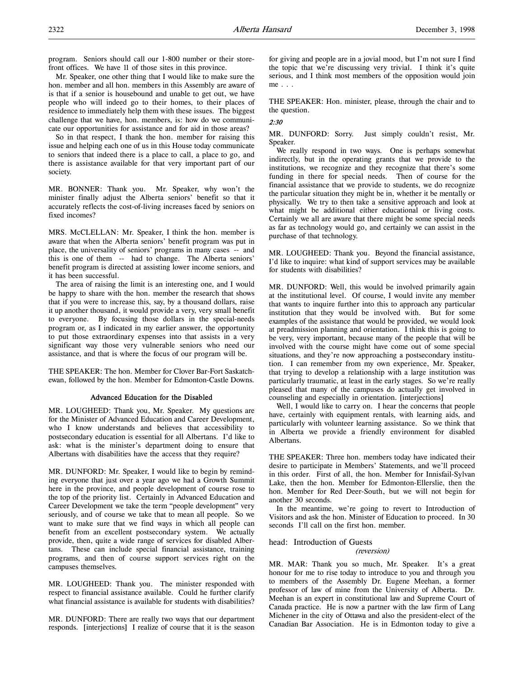program. Seniors should call our 1-800 number or their storefront offices. We have 11 of those sites in this province.

Mr. Speaker, one other thing that I would like to make sure the hon. member and all hon. members in this Assembly are aware of is that if a senior is housebound and unable to get out, we have people who will indeed go to their homes, to their places of residence to immediately help them with these issues. The biggest challenge that we have, hon. members, is: how do we communicate our opportunities for assistance and for aid in those areas?

So in that respect, I thank the hon. member for raising this issue and helping each one of us in this House today communicate to seniors that indeed there is a place to call, a place to go, and there is assistance available for that very important part of our society.

MR. BONNER: Thank you. Mr. Speaker, why won't the minister finally adjust the Alberta seniors' benefit so that it accurately reflects the cost-of-living increases faced by seniors on fixed incomes?

MRS. McCLELLAN: Mr. Speaker, I think the hon. member is aware that when the Alberta seniors' benefit program was put in place, the universality of seniors' programs in many cases -- and this is one of them -- had to change. The Alberta seniors' benefit program is directed at assisting lower income seniors, and it has been successful.

The area of raising the limit is an interesting one, and I would be happy to share with the hon. member the research that shows that if you were to increase this, say, by a thousand dollars, raise it up another thousand, it would provide a very, very small benefit to everyone. By focusing those dollars in the special-needs program or, as I indicated in my earlier answer, the opportunity to put those extraordinary expenses into that assists in a very significant way those very vulnerable seniors who need our assistance, and that is where the focus of our program will be.

THE SPEAKER: The hon. Member for Clover Bar-Fort Saskatchewan, followed by the hon. Member for Edmonton-Castle Downs.

## Advanced Education for the Disabled

MR. LOUGHEED: Thank you, Mr. Speaker. My questions are for the Minister of Advanced Education and Career Development, who I know understands and believes that accessibility to postsecondary education is essential for all Albertans. I'd like to ask: what is the minister's department doing to ensure that Albertans with disabilities have the access that they require?

MR. DUNFORD: Mr. Speaker, I would like to begin by reminding everyone that just over a year ago we had a Growth Summit here in the province, and people development of course rose to the top of the priority list. Certainly in Advanced Education and Career Development we take the term "people development" very seriously, and of course we take that to mean all people. So we want to make sure that we find ways in which all people can benefit from an excellent postsecondary system. We actually provide, then, quite a wide range of services for disabled Albertans. These can include special financial assistance, training programs, and then of course support services right on the campuses themselves.

MR. LOUGHEED: Thank you. The minister responded with respect to financial assistance available. Could he further clarify what financial assistance is available for students with disabilities?

MR. DUNFORD: There are really two ways that our department responds. [interjections] I realize of course that it is the season

for giving and people are in a jovial mood, but I'm not sure I find the topic that we're discussing very trivial. I think it's quite serious, and I think most members of the opposition would join me . . .

THE SPEAKER: Hon. minister, please, through the chair and to the question.

## 2:30

MR. DUNFORD: Sorry. Just simply couldn't resist, Mr. Speaker.

We really respond in two ways. One is perhaps somewhat indirectly, but in the operating grants that we provide to the institutions, we recognize and they recognize that there's some funding in there for special needs. Then of course for the financial assistance that we provide to students, we do recognize the particular situation they might be in, whether it be mentally or physically. We try to then take a sensitive approach and look at what might be additional either educational or living costs. Certainly we all are aware that there might be some special needs as far as technology would go, and certainly we can assist in the purchase of that technology.

MR. LOUGHEED: Thank you. Beyond the financial assistance, I'd like to inquire: what kind of support services may be available for students with disabilities?

MR. DUNFORD: Well, this would be involved primarily again at the institutional level. Of course, I would invite any member that wants to inquire further into this to approach any particular institution that they would be involved with. But for some examples of the assistance that would be provided, we would look at preadmission planning and orientation. I think this is going to be very, very important, because many of the people that will be involved with the course might have come out of some special situations, and they're now approaching a postsecondary institution. I can remember from my own experience, Mr. Speaker, that trying to develop a relationship with a large institution was particularly traumatic, at least in the early stages. So we're really pleased that many of the campuses do actually get involved in counseling and especially in orientation. [interjections]

Well, I would like to carry on. I hear the concerns that people have, certainly with equipment rentals, with learning aids, and particularly with volunteer learning assistance. So we think that in Alberta we provide a friendly environment for disabled Albertans.

THE SPEAKER: Three hon. members today have indicated their desire to participate in Members' Statements, and we'll proceed in this order. First of all, the hon. Member for Innisfail-Sylvan Lake, then the hon. Member for Edmonton-Ellerslie, then the hon. Member for Red Deer-South, but we will not begin for another 30 seconds.

In the meantime, we're going to revert to Introduction of Visitors and ask the hon. Minister of Education to proceed. In 30 seconds I'll call on the first hon. member.

# head: Introduction of Guests

# (reversion)

MR. MAR: Thank you so much, Mr. Speaker. It's a great honour for me to rise today to introduce to you and through you to members of the Assembly Dr. Eugene Meehan, a former professor of law of mine from the University of Alberta. Dr. Meehan is an expert in constitutional law and Supreme Court of Canada practice. He is now a partner with the law firm of Lang Michener in the city of Ottawa and also the president-elect of the Canadian Bar Association. He is in Edmonton today to give a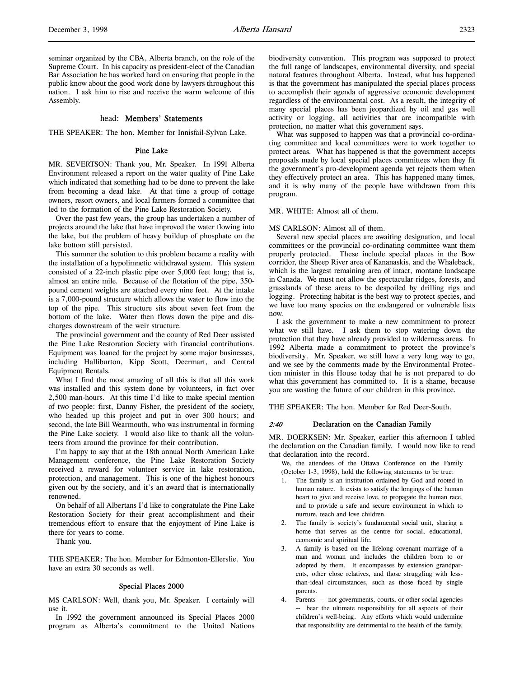seminar organized by the CBA, Alberta branch, on the role of the Supreme Court. In his capacity as president-elect of the Canadian Bar Association he has worked hard on ensuring that people in the public know about the good work done by lawyers throughout this nation. I ask him to rise and receive the warm welcome of this Assembly.

#### head: Members' Statements

THE SPEAKER: The hon. Member for Innisfail-Sylvan Lake.

#### Pine Lake

MR. SEVERTSON: Thank you, Mr. Speaker. In 1991 Alberta Environment released a report on the water quality of Pine Lake which indicated that something had to be done to prevent the lake from becoming a dead lake. At that time a group of cottage owners, resort owners, and local farmers formed a committee that led to the formation of the Pine Lake Restoration Society.

Over the past few years, the group has undertaken a number of projects around the lake that have improved the water flowing into the lake, but the problem of heavy buildup of phosphate on the lake bottom still persisted.

This summer the solution to this problem became a reality with the installation of a hypolimnetic withdrawal system. This system consisted of a 22-inch plastic pipe over 5,000 feet long; that is, almost an entire mile. Because of the flotation of the pipe, 350 pound cement weights are attached every nine feet. At the intake is a 7,000-pound structure which allows the water to flow into the top of the pipe. This structure sits about seven feet from the bottom of the lake. Water then flows down the pipe and discharges downstream of the weir structure.

The provincial government and the county of Red Deer assisted the Pine Lake Restoration Society with financial contributions. Equipment was loaned for the project by some major businesses, including Halliburton, Kipp Scott, Deermart, and Central Equipment Rentals.

What I find the most amazing of all this is that all this work was installed and this system done by volunteers, in fact over 2,500 man-hours. At this time I'd like to make special mention of two people: first, Danny Fisher, the president of the society, who headed up this project and put in over 300 hours; and second, the late Bill Wearmouth, who was instrumental in forming the Pine Lake society. I would also like to thank all the volunteers from around the province for their contribution.

I'm happy to say that at the 18th annual North American Lake Management conference, the Pine Lake Restoration Society received a reward for volunteer service in lake restoration, protection, and management. This is one of the highest honours given out by the society, and it's an award that is internationally renowned.

On behalf of all Albertans I'd like to congratulate the Pine Lake Restoration Society for their great accomplishment and their tremendous effort to ensure that the enjoyment of Pine Lake is there for years to come.

Thank you.

THE SPEAKER: The hon. Member for Edmonton-Ellerslie. You have an extra 30 seconds as well.

#### Special Places 2000

MS CARLSON: Well, thank you, Mr. Speaker. I certainly will use it.

In 1992 the government announced its Special Places 2000 program as Alberta's commitment to the United Nations biodiversity convention. This program was supposed to protect the full range of landscapes, environmental diversity, and special natural features throughout Alberta. Instead, what has happened is that the government has manipulated the special places process to accomplish their agenda of aggressive economic development regardless of the environmental cost. As a result, the integrity of many special places has been jeopardized by oil and gas well activity or logging, all activities that are incompatible with protection, no matter what this government says.

What was supposed to happen was that a provincial co-ordinating committee and local committees were to work together to protect areas. What has happened is that the government accepts proposals made by local special places committees when they fit the government's pro-development agenda yet rejects them when they effectively protect an area. This has happened many times, and it is why many of the people have withdrawn from this program.

## MR. WHITE: Almost all of them.

MS CARLSON: Almost all of them.

Several new special places are awaiting designation, and local committees or the provincial co-ordinating committee want them properly protected. These include special places in the Bow corridor, the Sheep River area of Kananaskis, and the Whaleback, which is the largest remaining area of intact, montane landscape in Canada. We must not allow the spectacular ridges, forests, and grasslands of these areas to be despoiled by drilling rigs and logging. Protecting habitat is the best way to protect species, and we have too many species on the endangered or vulnerable lists now.

I ask the government to make a new commitment to protect what we still have. I ask them to stop watering down the protection that they have already provided to wilderness areas. In 1992 Alberta made a commitment to protect the province's biodiversity. Mr. Speaker, we still have a very long way to go, and we see by the comments made by the Environmental Protection minister in this House today that he is not prepared to do what this government has committed to. It is a shame, because you are wasting the future of our children in this province.

THE SPEAKER: The hon. Member for Red Deer-South.

### 2:40 Declaration on the Canadian Family

MR. DOERKSEN: Mr. Speaker, earlier this afternoon I tabled the declaration on the Canadian family. I would now like to read that declaration into the record.

We, the attendees of the Ottawa Conference on the Family (October 1-3, 1998), hold the following statements to be true:

- The family is an institution ordained by God and rooted in human nature. It exists to satisfy the longings of the human heart to give and receive love, to propagate the human race, and to provide a safe and secure environment in which to nurture, teach and love children.
- 2. The family is society's fundamental social unit, sharing a home that serves as the centre for social, educational, economic and spiritual life.
- 3. A family is based on the lifelong covenant marriage of a man and woman and includes the children born to or adopted by them. It encompasses by extension grandparents, other close relatives, and those struggling with lessthan-ideal circumstances, such as those faced by single parents.
- 4. Parents -- not governments, courts, or other social agencies -- bear the ultimate responsibility for all aspects of their children's well-being. Any efforts which would undermine that responsibility are detrimental to the health of the family,